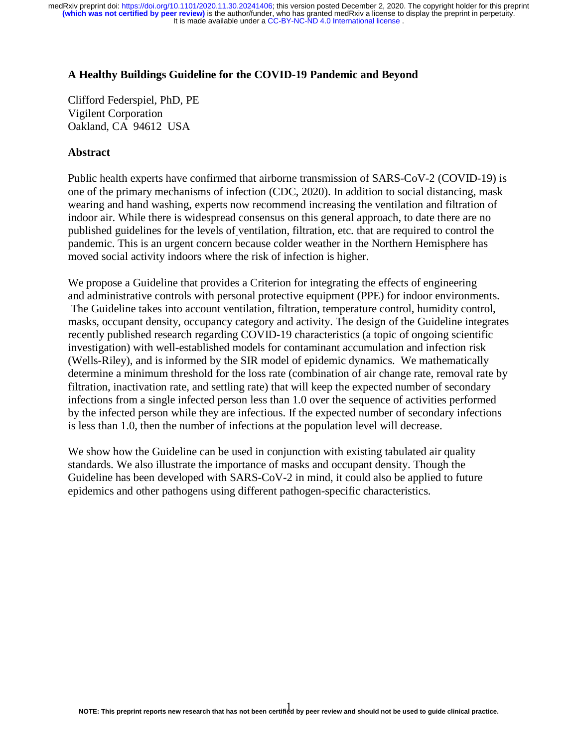## **A Healthy Buildings Guideline for the COVID-19 Pandemic and Beyond**

Clifford Federspiel, PhD, PE Vigilent Corporation Oakland, CA 94612 USA

# **Abstract**

Public health experts have confirmed that airborne transmission of SARS-CoV-2 (COVID-19) is one of the primary mechanisms of infection (CDC, 2020). In addition to social distancing, mask wearing and hand washing, experts now recommend increasing the ventilation and filtration of indoor air. While there is widespread consensus on this general approach, to date there are no published guidelines for the levels of ventilation, filtration, etc. that are required to control the pandemic. This is an urgent concern because colder weather in the Northern Hemisphere has moved social activity indoors where the risk of infection is higher.

We propose a Guideline that provides a Criterion for integrating the effects of engineering and administrative controls with personal protective equipment (PPE) for indoor environments. The Guideline takes into account ventilation, filtration, temperature control, humidity control, masks, occupant density, occupancy category and activity. The design of the Guideline integrates recently published research regarding COVID-19 characteristics (a topic of ongoing scientific investigation) with well-established models for contaminant accumulation and infection risk (Wells-Riley), and is informed by the SIR model of epidemic dynamics. We mathematically determine a minimum threshold for the loss rate (combination of air change rate, removal rate by filtration, inactivation rate, and settling rate) that will keep the expected number of secondary infections from a single infected person less than 1.0 over the sequence of activities performed by the infected person while they are infectious. If the expected number of secondary infections is less than 1.0, then the number of infections at the population level will decrease.

We show how the Guideline can be used in conjunction with existing tabulated air quality standards. We also illustrate the importance of masks and occupant density. Though the Guideline has been developed with SARS-CoV-2 in mind, it could also be applied to future epidemics and other pathogens using different pathogen-specific characteristics.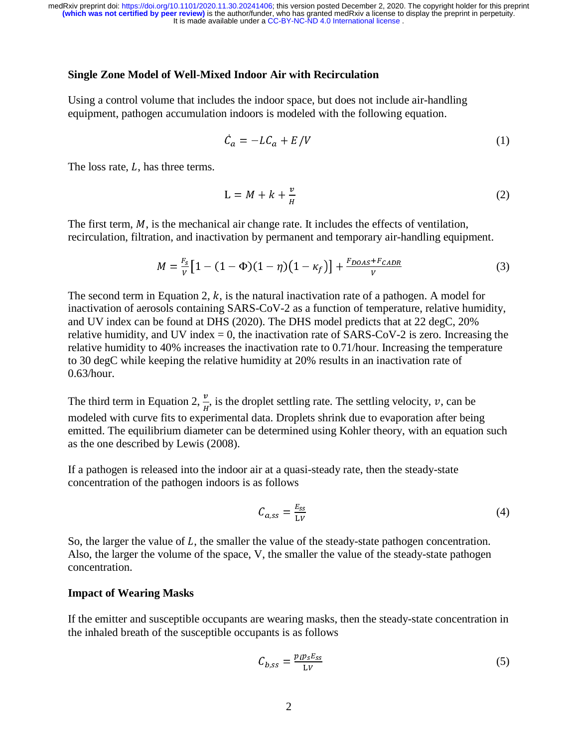It is made available under a [CC-BY-NC-ND 4.0 International license](http://creativecommons.org/licenses/by-nc-nd/4.0/) . **(which was not certified by peer review)** is the author/funder, who has granted medRxiv a license to display the preprint in perpetuity. medRxiv preprint doi: [https://doi.org/10.1101/2020.11.30.20241406;](https://doi.org/10.1101/2020.11.30.20241406) this version posted December 2, 2020. The copyright holder for this preprint

## **Single Zone Model of Well-Mixed Indoor Air with Recirculation**

Using a control volume that includes the indoor space, but does not include air-handling equipment, pathogen accumulation indoors is modeled with the following equation.

$$
\dot{C}_a = -L C_a + E/V \tag{1}
$$

The loss rate,  $L$ , has three terms.

$$
L = M + k + \frac{v}{H} \tag{2}
$$

The first term,  $M$ , is the mechanical air change rate. It includes the effects of ventilation, recirculation, filtration, and inactivation by permanent and temporary air-handling equipment.

$$
M = \frac{F_S}{V} \left[ 1 - (1 - \Phi)(1 - \eta) \left( 1 - \kappa_f \right) \right] + \frac{F_{DOAS} + F_{CADR}}{V} \tag{3}
$$

The second term in Equation 2,  $k$ , is the natural inactivation rate of a pathogen. A model for inactivation of aerosols containing SARS-CoV-2 as a function of temperature, relative humidity, and UV index can be found at DHS (2020). The DHS model predicts that at 22 degC, 20% relative humidity, and UV index  $= 0$ , the inactivation rate of SARS-CoV-2 is zero. Increasing the relative humidity to 40% increases the inactivation rate to 0.71/hour. Increasing the temperature to 30 degC while keeping the relative humidity at 20% results in an inactivation rate of 0.63/hour.

The third term in Equation 2,  $\frac{\nu}{H}$ , is the droplet settling rate. The settling velocity,  $\nu$ , can be modeled with ourse fits to experimental data. Draplets shriple due to experimention often bein modeled with curve fits to experimental data. Droplets shrink due to evaporation after being emitted. The equilibrium diameter can be determined using Kohler theory, with an equation such as the one described by Lewis (2008).

If a pathogen is released into the indoor air at a quasi-steady rate, then the steady-state concentration of the pathogen indoors is as follows

$$
C_{a,ss} = \frac{E_{ss}}{LV} \tag{4}
$$

So, the larger the value of  $L$ , the smaller the value of the steady-state pathogen concentration. Also, the larger the volume of the space, V, the smaller the value of the steady-state pathogen concentration.

## **Impact of Wearing Masks**

If the emitter and susceptible occupants are wearing masks, then the steady-state concentration in the inhaled breath of the susceptible occupants is as follows

$$
C_{b,ss} = \frac{p_i p_s E_{ss}}{LV} \tag{5}
$$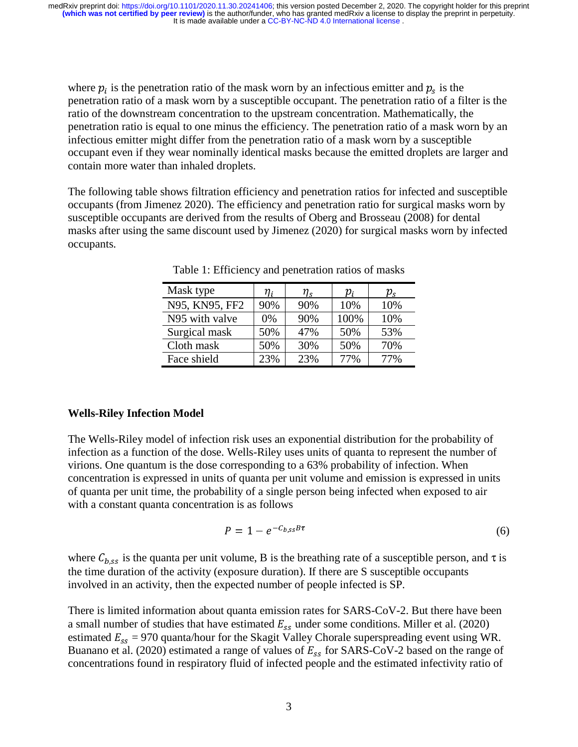where  $p_i$  is the penetration ratio of the mask worn by an infectious emitter and  $p_s$  is the penetration ratio of a mask worn by a susceptible occupant. The penetration ratio of a filter is the ratio of the downstream concentration to the upstream concentration. Mathematically, the penetration ratio is equal to one minus the efficiency. The penetration ratio of a mask worn by an infectious emitter might differ from the penetration ratio of a mask worn by a susceptible occupant even if they wear nominally identical masks because the emitted droplets are larger and contain more water than inhaled droplets.

The following table shows filtration efficiency and penetration ratios for infected and susceptible occupants (from Jimenez 2020). The efficiency and penetration ratio for surgical masks worn by susceptible occupants are derived from the results of Oberg and Brosseau (2008) for dental masks after using the same discount used by Jimenez (2020) for surgical masks worn by infected occupants.

| Mask type      | n,  | $\eta_{\rm c}$ | Ό,   | $p_{\scriptscriptstyle\rm c}$ |
|----------------|-----|----------------|------|-------------------------------|
| N95, KN95, FF2 | 90% | 90%            | 10%  | 10%                           |
| N95 with valve | 0%  | 90%            | 100% | 10%                           |
| Surgical mask  | 50% | 47%            | 50%  | 53%                           |
| Cloth mask     | 50% | 30%            | 50%  | 70%                           |
| Face shield    | 23% | 23%            | 77%  | 77%                           |

Table 1: Efficiency and penetration ratios of masks

# **Wells-Riley Infection Model**

The Wells-Riley model of infection risk uses an exponential distribution for the probability of infection as a function of the dose. Wells-Riley uses units of quanta to represent the number of virions. One quantum is the dose corresponding to a 63% probability of infection. When concentration is expressed in units of quanta per unit volume and emission is expressed in units of quanta per unit time, the probability of a single person being infected when exposed to air with a constant quanta concentration is as follows

$$
P = 1 - e^{-C_{b,ss}B\tau} \tag{6}
$$

where  $C_{b,ss}$  is the quanta per unit volume, B is the breathing rate of a susceptible person, and  $\tau$  is the time duration of the activity (exposure duration). If there are S susceptible occupants involved in an activity, then the expected number of people infected is SP.

There is limited information about quanta emission rates for SARS-CoV-2. But there have been a small number of studies that have estimated  $E_{ss}$  under some conditions. Miller et al. (2020) estimated  $E_{ss} = 970$  quanta/hour for the Skagit Valley Chorale superspreading event using WR. Buanano et al. (2020) estimated a range of values of  $E_{ss}$  for SARS-CoV-2 based on the range of concentrations found in respiratory fluid of infected people and the estimated infectivity ratio of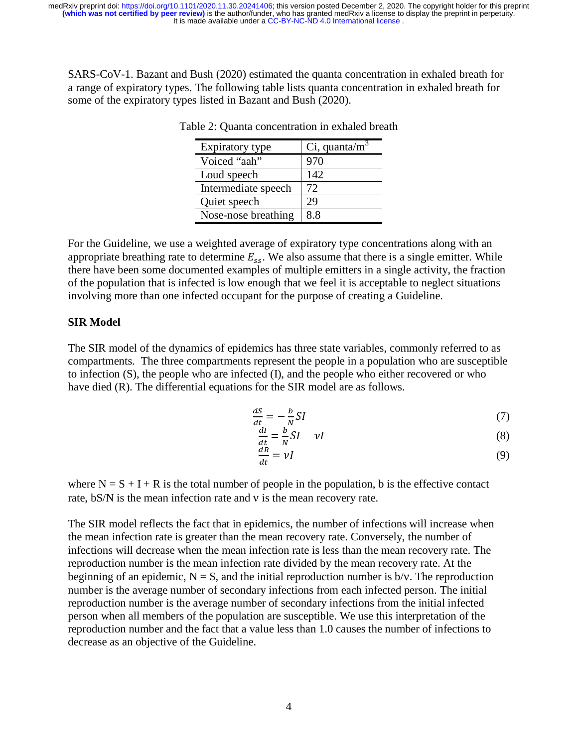SARS-CoV-1. Bazant and Bush (2020) estimated the quanta concentration in exhaled breath for a range of expiratory types. The following table lists quanta concentration in exhaled breath for some of the expiratory types listed in Bazant and Bush (2020).

| Expiratory type     | $Ci$ , quanta/m <sup>3</sup> |
|---------------------|------------------------------|
| Voiced "aah"        | 970                          |
| Loud speech         | 142                          |
| Intermediate speech | 72                           |
| Quiet speech        | 29                           |
| Nose-nose breathing | 88                           |

Table 2: Quanta concentration in exhaled breath

For the Guideline, we use a weighted average of expiratory type concentrations along with an appropriate breathing rate to determine  $E_{ss}$ . We also assume that there is a single emitter. While there have been some documented examples of multiple emitters in a single activity, the fraction of the population that is infected is low enough that we feel it is acceptable to neglect situations involving more than one infected occupant for the purpose of creating a Guideline.

## **SIR Model**

The SIR model of the dynamics of epidemics has three state variables, commonly referred to as compartments. The three compartments represent the people in a population who are susceptible to infection (S), the people who are infected (I), and the people who either recovered or who have died (R). The differential equations for the SIR model are as follows.

$$
\frac{dS}{dt} = -\frac{b}{N}SI\tag{7}
$$

$$
\frac{dI}{dt} = \frac{b}{N}SI - vI
$$
 (8)

$$
\frac{dR}{dt} = \nu I \tag{9}
$$

where  $N = S + I + R$  is the total number of people in the population, b is the effective contact rate, bS/N is the mean infection rate and ν is the mean recovery rate.

The SIR model reflects the fact that in epidemics, the number of infections will increase when the mean infection rate is greater than the mean recovery rate. Conversely, the number of infections will decrease when the mean infection rate is less than the mean recovery rate. The reproduction number is the mean infection rate divided by the mean recovery rate. At the beginning of an epidemic,  $N = S$ , and the initial reproduction number is  $b/v$ . The reproduction number is the average number of secondary infections from each infected person. The initial reproduction number is the average number of secondary infections from the initial infected person when all members of the population are susceptible. We use this interpretation of the reproduction number and the fact that a value less than 1.0 causes the number of infections to decrease as an objective of the Guideline.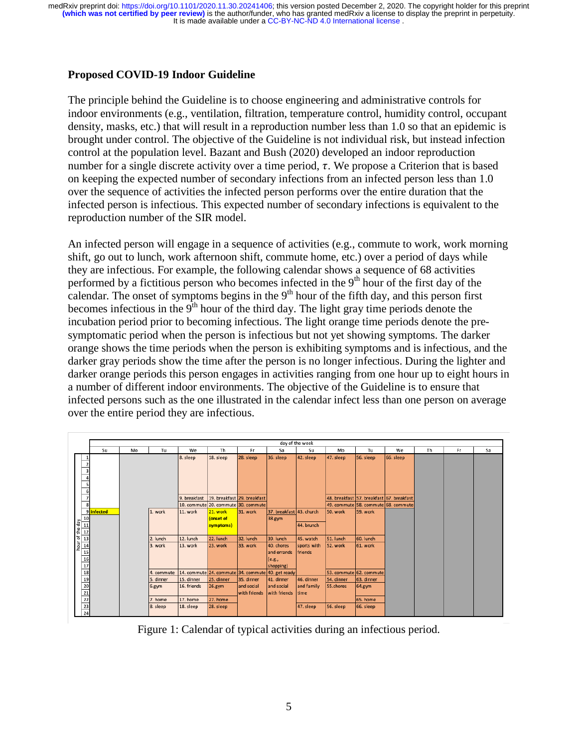## **Proposed COVID-19 Indoor Guideline**

The principle behind the Guideline is to choose engineering and administrative controls for indoor environments (e.g., ventilation, filtration, temperature control, humidity control, occupant density, masks, etc.) that will result in a reproduction number less than 1.0 so that an epidemic is brought under control. The objective of the Guideline is not individual risk, but instead infection control at the population level. Bazant and Bush (2020) developed an indoor reproduction number for a single discrete activity over a time period,  $\tau$ . We propose a Criterion that is based on keeping the expected number of secondary infections from an infected person less than 1.0 over the sequence of activities the infected person performs over the entire duration that the infected person is infectious. This expected number of secondary infections is equivalent to the reproduction number of the SIR model.

An infected person will engage in a sequence of activities (e.g., commute to work, work morning shift, go out to lunch, work afternoon shift, commute home, etc.) over a period of days while they are infectious. For example, the following calendar shows a sequence of 68 activities performed by a fictitious person who becomes infected in the  $9<sup>th</sup>$  hour of the first day of the calendar. The onset of symptoms begins in the  $9<sup>th</sup>$  hour of the fifth day, and this person first becomes infectious in the  $9<sup>th</sup>$  hour of the third day. The light gray time periods denote the incubation period prior to becoming infectious. The light orange time periods denote the presymptomatic period when the person is infectious but not yet showing symptoms. The darker orange shows the time periods when the person is exhibiting symptoms and is infectious, and the darker gray periods show the time after the person is no longer infectious. During the lighter and darker orange periods this person engages in activities ranging from one hour up to eight hours in a number of different indoor environments. The objective of the Guideline is to ensure that infected persons such as the one illustrated in the calendar infect less than one person on average over the entire period they are infectious.

|                                                                                                                                                                                                                                                                                                                                                                                                                                                                                                        | day of the week |    |                                                                    |                                                                |                                                              |                                                                                                                        |                                                                                                           |                                                                                                |                                                                             |                                                                                  |           |    |     |    |
|--------------------------------------------------------------------------------------------------------------------------------------------------------------------------------------------------------------------------------------------------------------------------------------------------------------------------------------------------------------------------------------------------------------------------------------------------------------------------------------------------------|-----------------|----|--------------------------------------------------------------------|----------------------------------------------------------------|--------------------------------------------------------------|------------------------------------------------------------------------------------------------------------------------|-----------------------------------------------------------------------------------------------------------|------------------------------------------------------------------------------------------------|-----------------------------------------------------------------------------|----------------------------------------------------------------------------------|-----------|----|-----|----|
|                                                                                                                                                                                                                                                                                                                                                                                                                                                                                                        | Su              | Mo | Tu                                                                 | We                                                             | Th                                                           | Fr                                                                                                                     | Sa                                                                                                        | Su                                                                                             | Mo                                                                          | Tu                                                                               | We        | Th | Fr. | Sa |
| $\overline{2}$<br>3                                                                                                                                                                                                                                                                                                                                                                                                                                                                                    |                 |    |                                                                    | 8. sleep                                                       | 18. sleep                                                    | 28. sleep                                                                                                              | 36. sleep                                                                                                 | 42. sleep                                                                                      | 47. sleep                                                                   | 56. sleep                                                                        | 66. sleep |    |     |    |
| $6 \overline{6}$<br>7<br>8                                                                                                                                                                                                                                                                                                                                                                                                                                                                             |                 |    |                                                                    | 9. breakfast                                                   | 19. breakfast 29. breakfast                                  | 10. commute 20. commute 30. commute                                                                                    |                                                                                                           |                                                                                                |                                                                             | 48. breakfast 57. breakfast 67. breakfast<br>49. commute 58. commute 68. commute |           |    |     |    |
|                                                                                                                                                                                                                                                                                                                                                                                                                                                                                                        | 9 infected      |    | 1. work                                                            | 11. work                                                       | 21. work<br>(onset of<br>symptoms)                           | 31. work                                                                                                               | 37. breakfast 43. church<br>38.gym                                                                        | 44. brunch                                                                                     | 50. work                                                                    | 59. work                                                                         |           |    |     |    |
| $\frac{\frac{1}{2} \log \frac{1}{2}}{\frac{1}{2} \log \frac{1}{2}} = \frac{\frac{1}{2} \log \frac{1}{2}}{\frac{1}{2} \log \frac{1}{2}} = \frac{\frac{1}{2} \log \frac{1}{2}}{\frac{1}{2} \log \frac{1}{2}} = \frac{\frac{1}{2} \log \frac{1}{2}}{\frac{1}{2} \log \frac{1}{2}} = \frac{\frac{1}{2} \log \frac{1}{2}}{\frac{1}{2} \log \frac{1}{2}} = \frac{\frac{1}{2} \log \frac{1}{2}}{\frac{1}{2} \log \frac{1}{2}} = \frac{\frac{1}{2} \$<br>$\frac{20}{21}$<br>$\frac{21}{22}$<br>$\frac{23}{24}$ |                 |    | 2. lunch<br>3. work<br>4. commute<br>5. dinner<br>6.gym<br>7. home | 12. lunch<br>13. work<br>15. dinner<br>16. friends<br>17. home | 22. lunch<br>23. work<br>25. dinner<br>$26.$ gym<br>27. home | 32. lunch<br>33. work<br>14. commute 24. commute 34. commute 40. get ready<br>35. dinner<br>and social<br>with friends | 39. lunch<br>40. chores<br>and errands<br>(e.g.,<br>shopping)<br>41. dinner<br>and social<br>with friends | 45. watch<br>sports with<br><i><u><b>Ifriends</b></u></i><br>46. dinner<br>and family<br>ltime | 51. lunch<br>52. work<br>53. commute 62. commute<br>54. dinner<br>55.chores | 60. lunch<br>61. work<br>63. dinner<br>64.gym<br>65, home                        |           |    |     |    |
|                                                                                                                                                                                                                                                                                                                                                                                                                                                                                                        |                 |    | 8. sleep                                                           | 18. sleep                                                      | 28. sleep                                                    |                                                                                                                        |                                                                                                           | 47. sleep                                                                                      | 56. sleep                                                                   | 66. sleep                                                                        |           |    |     |    |

Figure 1: Calendar of typical activities during an infectious period.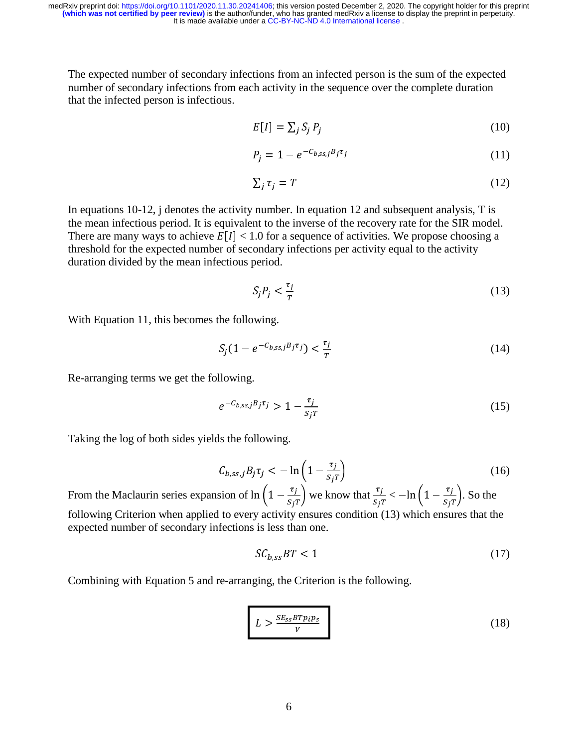The expected number of secondary infections from an infected person is the sum of the expected number of secondary infections from each activity in the sequence over the complete duration that the infected person is infectious.

$$
E[I] = \sum_{j} S_j P_j \tag{10}
$$

$$
P_j = 1 - e^{-C_{b,ss,j}B_j\tau_j} \tag{11}
$$

$$
\sum_{j} \tau_{j} = T \tag{12}
$$

In equations 10-12, j denotes the activity number. In equation 12 and subsequent analysis, T is the mean infectious period. It is equivalent to the inverse of the recovery rate for the SIR model. There are many ways to achieve  $E[I] < 1.0$  for a sequence of activities. We propose choosing a threshold for the expected number of secondary infections per activity equal to the activity duration divided by the mean infectious period.

$$
S_j P_j < \frac{\tau_j}{T} \tag{13}
$$

With Equation 11, this becomes the following.

$$
S_j(1 - e^{-C_{b,ss,j}B_j\tau_j}) < \frac{\tau_j}{T} \tag{14}
$$

Re-arranging terms we get the following.

$$
e^{-C_{b,ss,j}B_{j}\tau_{j}} > 1 - \frac{\tau_{j}}{s_{j}T}
$$
 (15)

Taking the log of both sides yields the following.

$$
C_{b,ss,j}B_j\tau_j < -\ln\left(1 - \frac{\tau_j}{s_j\tau}\right) \tag{16}
$$

From the Maclaurin series expansion of  $\ln\left(1-\frac{t_f}{s_f r}\right)$  we know that  $\frac{t_f}{s_f r} < -\ln\left(1-\frac{t_f}{s_f r}\right)$ . So the following Criterion when applied to every activity ensures condition (13) which ensures that the expected number of secondary infections is less than one.

$$
SC_{b,ss}BT < 1\tag{17}
$$

Combining with Equation 5 and re-arranging, the Criterion is the following.

$$
L > \frac{SE_{SS} B T p_i p_S}{V}
$$
 (18)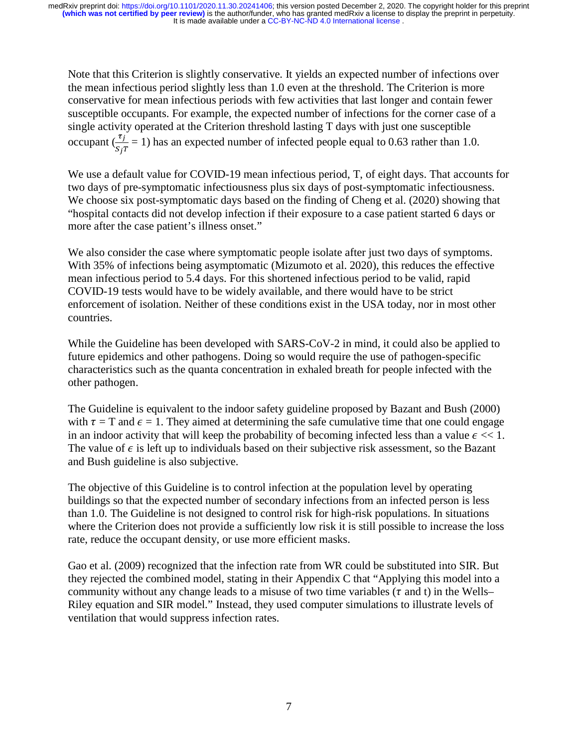Note that this Criterion is slightly conservative. It yields an expected number of infections over the mean infectious period slightly less than 1.0 even at the threshold. The Criterion is more conservative for mean infectious periods with few activities that last longer and contain fewer susceptible occupants. For example, the expected number of infections for the corner case of a single activity operated at the Criterion threshold lasting T days with just one susceptible occupant  $\left(\frac{i}{c}\right)$  $^{\prime}$  $= 1$ ) has an expected number of infected people equal to 0.63 rather than 1.0.

We use a default value for COVID-19 mean infectious period, T, of eight days. That accounts for two days of pre-symptomatic infectiousness plus six days of post-symptomatic infectiousness. We choose six post-symptomatic days based on the finding of Cheng et al. (2020) showing that "hospital contacts did not develop infection if their exposure to a case patient started 6 days or more after the case patient's illness onset."

We also consider the case where symptomatic people isolate after just two days of symptoms. With 35% of infections being asymptomatic (Mizumoto et al. 2020), this reduces the effective mean infectious period to 5.4 days. For this shortened infectious period to be valid, rapid COVID-19 tests would have to be widely available, and there would have to be strict enforcement of isolation. Neither of these conditions exist in the USA today, nor in most other countries.

While the Guideline has been developed with SARS-CoV-2 in mind, it could also be applied to future epidemics and other pathogens. Doing so would require the use of pathogen-specific characteristics such as the quanta concentration in exhaled breath for people infected with the other pathogen.

The Guideline is equivalent to the indoor safety guideline proposed by Bazant and Bush (2000) with  $\tau = T$  and  $\epsilon = 1$ . They aimed at determining the safe cumulative time that one could engage in an indoor activity that will keep the probability of becoming infected less than a value  $\epsilon \ll 1$ . The value of  $\epsilon$  is left up to individuals based on their subjective risk assessment, so the Bazant and Bush guideline is also subjective.

The objective of this Guideline is to control infection at the population level by operating buildings so that the expected number of secondary infections from an infected person is less than 1.0. The Guideline is not designed to control risk for high-risk populations. In situations where the Criterion does not provide a sufficiently low risk it is still possible to increase the loss rate, reduce the occupant density, or use more efficient masks.

Gao et al. (2009) recognized that the infection rate from WR could be substituted into SIR. But they rejected the combined model, stating in their Appendix C that "Applying this model into a community without any change leads to a misuse of two time variables ( $\tau$  and t) in the Wells– Riley equation and SIR model." Instead, they used computer simulations to illustrate levels of ventilation that would suppress infection rates.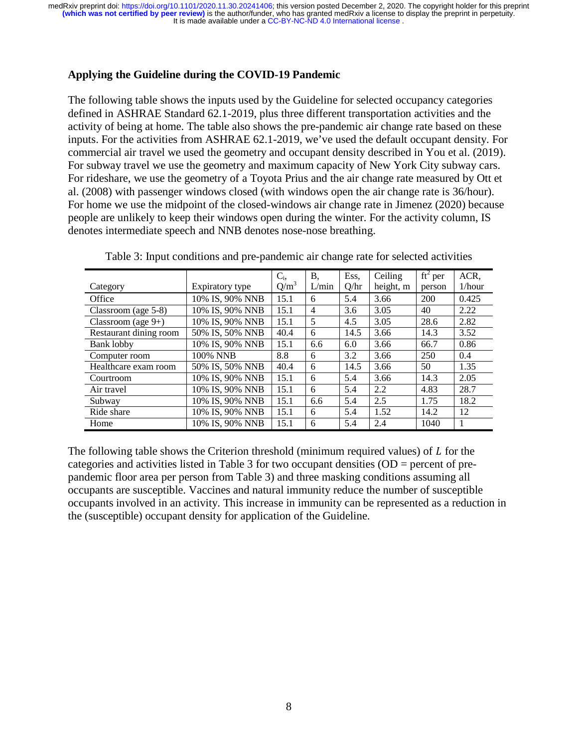# **Applying the Guideline during the COVID-19 Pandemic**

The following table shows the inputs used by the Guideline for selected occupancy categories defined in ASHRAE Standard 62.1-2019, plus three different transportation activities and the activity of being at home. The table also shows the pre-pandemic air change rate based on these inputs. For the activities from ASHRAE 62.1-2019, we've used the default occupant density. For commercial air travel we used the geometry and occupant density described in You et al. (2019). For subway travel we use the geometry and maximum capacity of New York City subway cars. For rideshare, we use the geometry of a Toyota Prius and the air change rate measured by Ott et al. (2008) with passenger windows closed (with windows open the air change rate is 36/hour). For home we use the midpoint of the closed-windows air change rate in Jimenez (2020) because people are unlikely to keep their windows open during the winter. For the activity column, IS denotes intermediate speech and NNB denotes nose-nose breathing.

|                        |                 | $C_i$   | Β,             | Ess, | Ceiling   | $ft^2$ per | ACR,   |
|------------------------|-----------------|---------|----------------|------|-----------|------------|--------|
| Category               | Expiratory type | $Q/m^3$ | L/min          | Q/hr | height, m | person     | 1/hour |
| Office                 | 10% IS, 90% NNB | 15.1    | 6              | 5.4  | 3.66      | 200        | 0.425  |
| Classroom (age $5-8$ ) | 10% IS, 90% NNB | 15.1    | $\overline{4}$ | 3.6  | 3.05      | 40         | 2.22   |
| Classroom (age $9+$ )  | 10% IS, 90% NNB | 15.1    | 5              | 4.5  | 3.05      | 28.6       | 2.82   |
| Restaurant dining room | 50% IS, 50% NNB | 40.4    | 6              | 14.5 | 3.66      | 14.3       | 3.52   |
| Bank lobby             | 10% IS, 90% NNB | 15.1    | 6.6            | 6.0  | 3.66      | 66.7       | 0.86   |
| Computer room          | 100% NNB        | 8.8     | 6              | 3.2  | 3.66      | 250        | 0.4    |
| Healthcare exam room   | 50% IS, 50% NNB | 40.4    | 6              | 14.5 | 3.66      | 50         | 1.35   |
| Courtroom              | 10% IS, 90% NNB | 15.1    | 6              | 5.4  | 3.66      | 14.3       | 2.05   |
| Air travel             | 10% IS, 90% NNB | 15.1    | 6              | 5.4  | 2.2       | 4.83       | 28.7   |
| Subway                 | 10% IS, 90% NNB | 15.1    | 6.6            | 5.4  | 2.5       | 1.75       | 18.2   |
| Ride share             | 10% IS, 90% NNB | 15.1    | 6              | 5.4  | 1.52      | 14.2       | 12     |
| Home                   | 10% IS, 90% NNB | 15.1    | 6              | 5.4  | 2.4       | 1040       |        |

Table 3: Input conditions and pre-pandemic air change rate for selected activities

The following table shows the Criterion threshold (minimum required values) of  $L$  for the categories and activities listed in Table 3 for two occupant densities (OD = percent of prepandemic floor area per person from Table 3) and three masking conditions assuming all occupants are susceptible. Vaccines and natural immunity reduce the number of susceptible occupants involved in an activity. This increase in immunity can be represented as a reduction in the (susceptible) occupant density for application of the Guideline.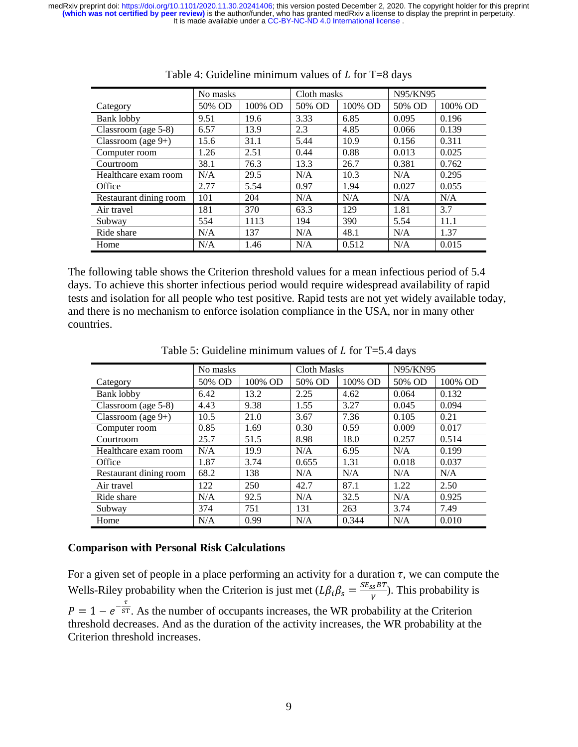|                        | No masks |         | Cloth masks |         | N95/KN95 |         |
|------------------------|----------|---------|-------------|---------|----------|---------|
| Category               | 50% OD   | 100% OD | 50% OD      | 100% OD | 50% OD   | 100% OD |
| Bank lobby             | 9.51     | 19.6    | 3.33        | 6.85    | 0.095    | 0.196   |
| Classroom (age 5-8)    | 6.57     | 13.9    | 2.3         | 4.85    | 0.066    | 0.139   |
| Classroom (age $9+$ )  | 15.6     | 31.1    | 5.44        | 10.9    | 0.156    | 0.311   |
| Computer room          | 1.26     | 2.51    | 0.44        | 0.88    | 0.013    | 0.025   |
| Courtroom              | 38.1     | 76.3    | 13.3        | 26.7    | 0.381    | 0.762   |
| Healthcare exam room   | N/A      | 29.5    | N/A         | 10.3    | N/A      | 0.295   |
| Office                 | 2.77     | 5.54    | 0.97        | 1.94    | 0.027    | 0.055   |
| Restaurant dining room | 101      | 204     | N/A         | N/A     | N/A      | N/A     |
| Air travel             | 181      | 370     | 63.3        | 129     | 1.81     | 3.7     |
| Subway                 | 554      | 1113    | 194         | 390     | 5.54     | 11.1    |
| Ride share             | N/A      | 137     | N/A         | 48.1    | N/A      | 1.37    |
| Home                   | N/A      | 1.46    | N/A         | 0.512   | N/A      | 0.015   |

| Table 4: Guideline minimum values of $L$ for T=8 days |  |  |  |
|-------------------------------------------------------|--|--|--|
|                                                       |  |  |  |

The following table shows the Criterion threshold values for a mean infectious period of 5.4 days. To achieve this shorter infectious period would require widespread availability of rapid tests and isolation for all people who test positive. Rapid tests are not yet widely available today, and there is no mechanism to enforce isolation compliance in the USA, nor in many other countries.

|                        | No masks |         | <b>Cloth Masks</b> |         | N95/KN95 |         |
|------------------------|----------|---------|--------------------|---------|----------|---------|
| Category               | 50% OD   | 100% OD | 50% OD             | 100% OD | 50% OD   | 100% OD |
| Bank lobby             | 6.42     | 13.2    | 2.25               | 4.62    | 0.064    | 0.132   |
| Classroom (age 5-8)    | 4.43     | 9.38    | 1.55               | 3.27    | 0.045    | 0.094   |
| Classroom (age $9+$ )  | 10.5     | 21.0    | 3.67               | 7.36    | 0.105    | 0.21    |
| Computer room          | 0.85     | 1.69    | 0.30               | 0.59    | 0.009    | 0.017   |
| Courtroom              | 25.7     | 51.5    | 8.98               | 18.0    | 0.257    | 0.514   |
| Healthcare exam room   | N/A      | 19.9    | N/A                | 6.95    | N/A      | 0.199   |
| Office                 | 1.87     | 3.74    | 0.655              | 1.31    | 0.018    | 0.037   |
| Restaurant dining room | 68.2     | 138     | N/A                | N/A     | N/A      | N/A     |
| Air travel             | 122      | 250     | 42.7               | 87.1    | 1.22     | 2.50    |
| Ride share             | N/A      | 92.5    | N/A                | 32.5    | N/A      | 0.925   |
| Subway                 | 374      | 751     | 131                | 263     | 3.74     | 7.49    |
| Home                   | N/A      | 0.99    | N/A                | 0.344   | N/A      | 0.010   |

Table 5: Guideline minimum values of  $L$  for T=5.4 days

#### **Comparison with Personal Risk Calculations**

For a given set of people in a place performing an activity for a duration  $\tau$ , we can compute the Wells-Riley probability when the Criterion is just met  $(L\beta_i\beta_s = \frac{3E_{SS}DT}{V})$ . This probability is  $P = 1 - e^{-\frac{1}{5T}}$ . As the number of occupants increases, the WR probability at the Criterion threshold decreases. And as the duration of the activity increases, the WR probability at the Criterion threshold increases.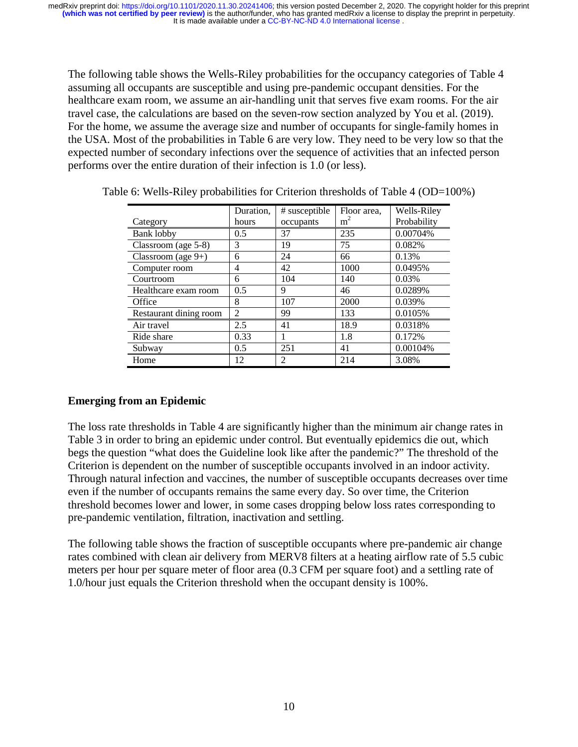The following table shows the Wells-Riley probabilities for the occupancy categories of Table 4 assuming all occupants are susceptible and using pre-pandemic occupant densities. For the healthcare exam room, we assume an air-handling unit that serves five exam rooms. For the air travel case, the calculations are based on the seven-row section analyzed by You et al. (2019). For the home, we assume the average size and number of occupants for single-family homes in the USA. Most of the probabilities in Table 6 are very low. They need to be very low so that the expected number of secondary infections over the sequence of activities that an infected person performs over the entire duration of their infection is 1.0 (or less).

|                        | Duration,      | # susceptible | Floor area,    | Wells-Riley |
|------------------------|----------------|---------------|----------------|-------------|
| Category               | hours          | occupants     | m <sup>2</sup> | Probability |
| Bank lobby             | 0.5            | 37            | 235            | 0.00704%    |
| Classroom (age 5-8)    | 3              | 19            | 75             | 0.082%      |
| Classroom (age $9+$ )  | 6              | 24            | 66             | 0.13%       |
| Computer room          | 4              | 42            | 1000           | 0.0495%     |
| Courtroom              | 6              | 104           | 140            | 0.03%       |
| Healthcare exam room   | 0.5            | 9             | 46             | 0.0289%     |
| Office                 | 8              | 107           | 2000           | 0.039%      |
| Restaurant dining room | $\mathfrak{D}$ | 99            | 133            | 0.0105%     |
| Air travel             | 2.5            | 41            | 18.9           | 0.0318%     |
| Ride share             | 0.33           |               | 1.8            | 0.172%      |
| Subway                 | 0.5            | 251           | 41             | 0.00104%    |
| Home                   | 12             | 2             | 214            | 3.08%       |

Table 6: Wells-Riley probabilities for Criterion thresholds of Table 4 (OD=100%)

# **Emerging from an Epidemic**

The loss rate thresholds in Table 4 are significantly higher than the minimum air change rates in Table 3 in order to bring an epidemic under control. But eventually epidemics die out, which begs the question "what does the Guideline look like after the pandemic?" The threshold of the Criterion is dependent on the number of susceptible occupants involved in an indoor activity. Through natural infection and vaccines, the number of susceptible occupants decreases over time even if the number of occupants remains the same every day. So over time, the Criterion threshold becomes lower and lower, in some cases dropping below loss rates corresponding to pre-pandemic ventilation, filtration, inactivation and settling.

The following table shows the fraction of susceptible occupants where pre-pandemic air change rates combined with clean air delivery from MERV8 filters at a heating airflow rate of 5.5 cubic meters per hour per square meter of floor area (0.3 CFM per square foot) and a settling rate of 1.0/hour just equals the Criterion threshold when the occupant density is 100%.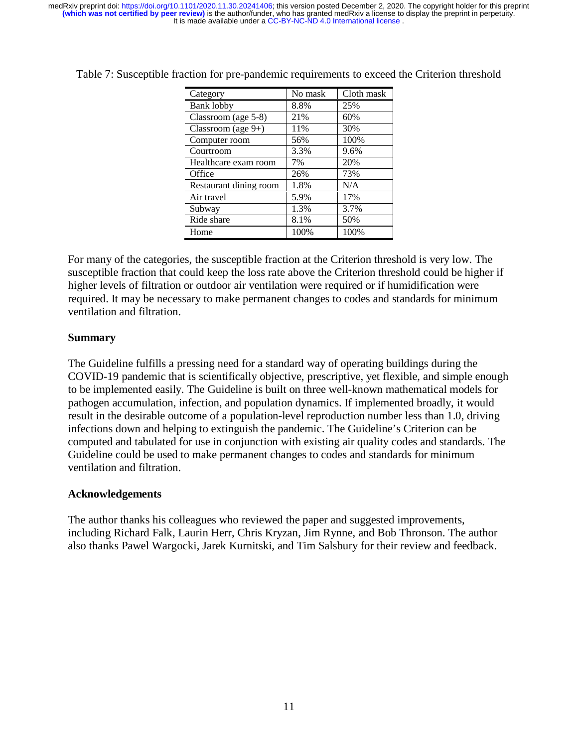| Category               | No mask | Cloth mask |
|------------------------|---------|------------|
| <b>Bank lobby</b>      | 8.8%    | 25%        |
| Classroom (age 5-8)    | 21%     | 60%        |
| Classroom (age $9+$ )  | 11%     | 30%        |
| Computer room          | 56%     | 100%       |
| Courtroom              | 3.3%    | 9.6%       |
| Healthcare exam room   | 7%      | 20%        |
| Office                 | 26%     | 73%        |
| Restaurant dining room | 1.8%    | N/A        |
| Air travel             | 5.9%    | 17%        |
| Subway                 | 1.3%    | 3.7%       |
| Ride share             | 8.1%    | 50%        |
| Home                   | 100%    | 100%       |

Table 7: Susceptible fraction for pre-pandemic requirements to exceed the Criterion threshold

For many of the categories, the susceptible fraction at the Criterion threshold is very low. The susceptible fraction that could keep the loss rate above the Criterion threshold could be higher if higher levels of filtration or outdoor air ventilation were required or if humidification were required. It may be necessary to make permanent changes to codes and standards for minimum ventilation and filtration.

## **Summary**

The Guideline fulfills a pressing need for a standard way of operating buildings during the COVID-19 pandemic that is scientifically objective, prescriptive, yet flexible, and simple enough to be implemented easily. The Guideline is built on three well-known mathematical models for pathogen accumulation, infection, and population dynamics. If implemented broadly, it would result in the desirable outcome of a population-level reproduction number less than 1.0, driving infections down and helping to extinguish the pandemic. The Guideline's Criterion can be computed and tabulated for use in conjunction with existing air quality codes and standards. The Guideline could be used to make permanent changes to codes and standards for minimum ventilation and filtration.

## **Acknowledgements**

The author thanks his colleagues who reviewed the paper and suggested improvements, including Richard Falk, Laurin Herr, Chris Kryzan, Jim Rynne, and Bob Thronson. The author also thanks Pawel Wargocki, Jarek Kurnitski, and Tim Salsbury for their review and feedback.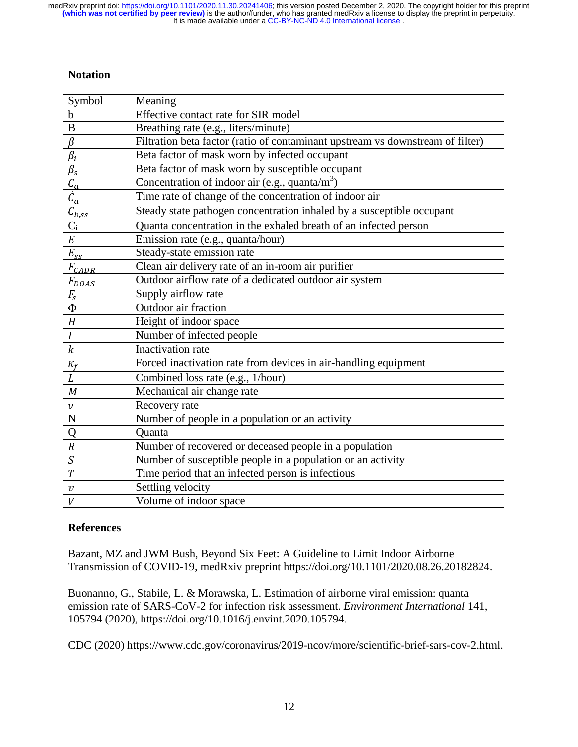# **Notation**

| Symbol                                 | Meaning                                                                        |
|----------------------------------------|--------------------------------------------------------------------------------|
| $\mathbf b$                            | Effective contact rate for SIR model                                           |
| $\, {\bf B}$                           | Breathing rate (e.g., liters/minute)                                           |
| $\beta$                                | Filtration beta factor (ratio of contaminant upstream vs downstream of filter) |
| $\beta_i$                              | Beta factor of mask worn by infected occupant                                  |
| $\beta_{s}$                            | Beta factor of mask worn by susceptible occupant                               |
| $\mathcal{C}_a$                        | Concentration of indoor air (e.g., quanta/ $m3$ )                              |
| $\ddot{c}_a$                           | Time rate of change of the concentration of indoor air                         |
| $\bar{\mathcal{C}}_{\underline{b},ss}$ | Steady state pathogen concentration inhaled by a susceptible occupant          |
| $C_{\rm i}$                            | Quanta concentration in the exhaled breath of an infected person               |
| E                                      | Emission rate (e.g., quanta/hour)                                              |
| $E_{ss}$                               | Steady-state emission rate                                                     |
| $F_{\text{CADR}}$                      | Clean air delivery rate of an in-room air purifier                             |
| $F_{DOAS}$                             | Outdoor airflow rate of a dedicated outdoor air system                         |
| $F_{\rm s}$                            | Supply airflow rate                                                            |
| $\Phi$                                 | Outdoor air fraction                                                           |
| H                                      | Height of indoor space                                                         |
| $\boldsymbol{I}$                       | Number of infected people                                                      |
| $\boldsymbol{k}$                       | Inactivation rate                                                              |
| $\kappa_f$                             | Forced inactivation rate from devices in air-handling equipment                |
| $\boldsymbol{L}$                       | Combined loss rate (e.g., 1/hour)                                              |
| M                                      | Mechanical air change rate                                                     |
| $\boldsymbol{\nu}$                     | Recovery rate                                                                  |
| $\overline{N}$                         | Number of people in a population or an activity                                |
| Q                                      | Quanta                                                                         |
| $\boldsymbol{R}$                       | Number of recovered or deceased people in a population                         |
| S                                      | Number of susceptible people in a population or an activity                    |
| $\overline{T}$                         | Time period that an infected person is infectious                              |
| $\boldsymbol{v}$                       | Settling velocity                                                              |
| $\boldsymbol{V}$                       | Volume of indoor space                                                         |

# **References**

Bazant, MZ and JWM Bush, Beyond Six Feet: A Guideline to Limit Indoor Airborne Transmission of COVID-19, medRxiv preprint https://doi.org/10.1101/2020.08.26.20182824.

Buonanno, G., Stabile, L. & Morawska, L. Estimation of airborne viral emission: quanta emission rate of SARS-CoV-2 for infection risk assessment. *Environment International* 141, 105794 (2020), https://doi.org/10.1016/j.envint.2020.105794.

CDC (2020) https://www.cdc.gov/coronavirus/2019-ncov/more/scientific-brief-sars-cov-2.html.